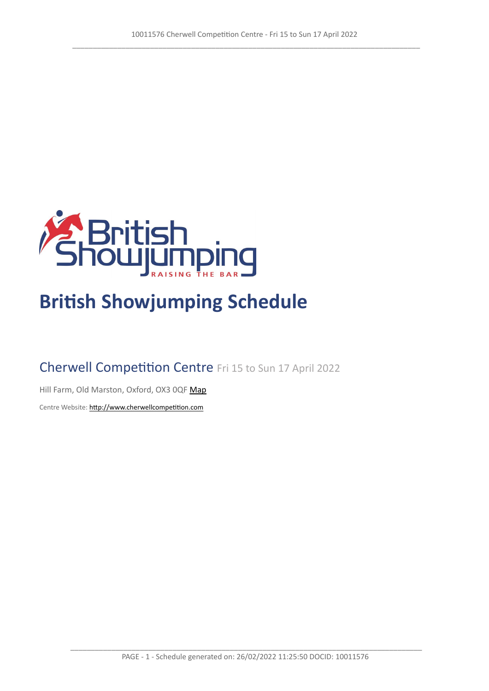

# **British Showjumping Schedule**

# Cherwell Competition Centre Fri 15 to Sun 17 April 2022

Hill Farm, Old Marston, Oxford, OX3 0QF [Map](https://www.google.com/maps/@51.7848549876362,-1.24326984398067,16z)

Centre Website: <http://www.cherwellcompetition.com>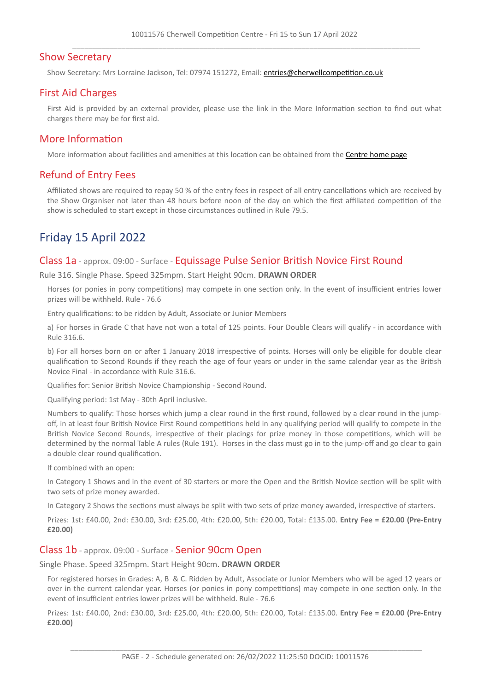## Show Secretary

Show Secretary: Mrs Lorraine Jackson, Tel: 07974 151272, Email: <entries@cherwellcompetition.co.uk>

# First Aid Charges

First Aid is provided by an external provider, please use the link in the More Information section to find out what charges there may be for first aid.

## More Information

More information about facilities and amenities at this location can be obtained from the [Centre](http://www.cherwellcompetition.com) [home](http://www.cherwellcompetition.com) [page](http://www.cherwellcompetition.com)

# Refund of Entry Fees

Affiliated shows are required to repay 50 % of the entry fees in respect of all entry cancellations which are received by the Show Organiser not later than 48 hours before noon of the day on which the first affiliated competition of the show is scheduled to start except in those circumstances outlined in Rule 79.5.

# Friday 15 April 2022

#### Class 1a - approx. 09:00 - Surface - Equissage Pulse Senior British Novice First Round

Rule 316. Single Phase. Speed 325mpm. Start Height 90cm. **DRAWN ORDER**

Horses (or ponies in pony competitions) may compete in one section only. In the event of insufficient entries lower prizes will be withheld. Rule - 76.6

Entry qualifications: to be ridden by Adult, Associate or Junior Members

a) For horses in Grade C that have not won a total of 125 points. Four Double Clears will qualify - in accordance with Rule 316.6.

b) For all horses born on or after 1 January 2018 irrespective of points. Horses will only be eligible for double clear qualification to Second Rounds if they reach the age of four years or under in the same calendar year as the British Novice Final - in accordance with Rule 316.6.

Qualifies for: Senior British Novice Championship - Second Round.

Qualifying period: 1st May - 30th April inclusive.

Numbers to qualify: Those horses which jump a clear round in the first round, followed by a clear round in the jumpoff, in at least four British Novice First Round competitions held in any qualifying period will qualify to compete in the British Novice Second Rounds, irrespective of their placings for prize money in those competitions, which will be determined by the normal Table A rules (Rule 191). Horses in the class must go in to the jump-off and go clear to gain a double clear round qualification.

If combined with an open:

In Category 1 Shows and in the event of 30 starters or more the Open and the British Novice section will be split with two sets of prize money awarded.

In Category 2 Shows the sections must always be split with two sets of prize money awarded, irrespective of starters.

Prizes: 1st: £40.00, 2nd: £30.00, 3rd: £25.00, 4th: £20.00, 5th: £20.00, Total: £135.00. **Entry Fee = £20.00 (Pre-Entry £20.00)**

#### Class 1b - approx. 09:00 - Surface - Senior 90cm Open

Single Phase. Speed 325mpm. Start Height 90cm. **DRAWN ORDER**

For registered horses in Grades: A, B & C. Ridden by Adult, Associate or Junior Members who will be aged 12 years or over in the current calendar year. Horses (or ponies in pony competitions) may compete in one section only. In the event of insufficient entries lower prizes will be withheld. Rule - 76.6

Prizes: 1st: £40.00, 2nd: £30.00, 3rd: £25.00, 4th: £20.00, 5th: £20.00, Total: £135.00. **Entry Fee = £20.00 (Pre-Entry £20.00)**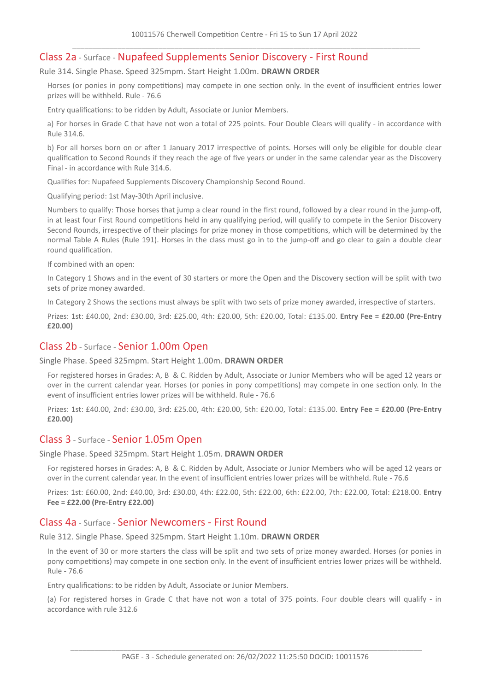# Class 2a - Surface - Nupafeed Supplements Senior Discovery - First Round

Rule 314. Single Phase. Speed 325mpm. Start Height 1.00m. **DRAWN ORDER**

Horses (or ponies in pony competitions) may compete in one section only. In the event of insufficient entries lower prizes will be withheld. Rule - 76.6

Entry qualifications: to be ridden by Adult, Associate or Junior Members.

a) For horses in Grade C that have not won a total of 225 points. Four Double Clears will qualify - in accordance with Rule 314.6.

b) For all horses born on or after 1 January 2017 irrespective of points. Horses will only be eligible for double clear qualification to Second Rounds if they reach the age of five years or under in the same calendar year as the Discovery Final - in accordance with Rule 314.6.

Qualifies for: Nupafeed Supplements Discovery Championship Second Round.

Qualifying period: 1st May-30th April inclusive.

Numbers to qualify: Those horses that jump a clear round in the first round, followed by a clear round in the jump-off, in at least four First Round competitions held in any qualifying period, will qualify to compete in the Senior Discovery Second Rounds, irrespective of their placings for prize money in those competitions, which will be determined by the normal Table A Rules (Rule 191). Horses in the class must go in to the jump-off and go clear to gain a double clear round qualification.

If combined with an open:

In Category 1 Shows and in the event of 30 starters or more the Open and the Discovery section will be split with two sets of prize money awarded.

In Category 2 Shows the sections must always be split with two sets of prize money awarded, irrespective of starters.

Prizes: 1st: £40.00, 2nd: £30.00, 3rd: £25.00, 4th: £20.00, 5th: £20.00, Total: £135.00. **Entry Fee = £20.00 (Pre-Entry £20.00)**

#### Class 2b - Surface - Senior 1.00m Open

Single Phase. Speed 325mpm. Start Height 1.00m. **DRAWN ORDER**

For registered horses in Grades: A, B & C. Ridden by Adult, Associate or Junior Members who will be aged 12 years or over in the current calendar year. Horses (or ponies in pony competitions) may compete in one section only. In the event of insufficient entries lower prizes will be withheld. Rule - 76.6

Prizes: 1st: £40.00, 2nd: £30.00, 3rd: £25.00, 4th: £20.00, 5th: £20.00, Total: £135.00. **Entry Fee = £20.00 (Pre-Entry £20.00)**

#### Class 3 - Surface - Senior 1.05m Open

Single Phase. Speed 325mpm. Start Height 1.05m. **DRAWN ORDER**

For registered horses in Grades: A, B & C. Ridden by Adult, Associate or Junior Members who will be aged 12 years or over in the current calendar year. In the event of insufficient entries lower prizes will be withheld. Rule - 76.6

Prizes: 1st: £60.00, 2nd: £40.00, 3rd: £30.00, 4th: £22.00, 5th: £22.00, 6th: £22.00, 7th: £22.00, Total: £218.00. **Entry Fee = £22.00 (Pre-Entry £22.00)**

# Class 4a - Surface - Senior Newcomers - First Round

Rule 312. Single Phase. Speed 325mpm. Start Height 1.10m. **DRAWN ORDER**

In the event of 30 or more starters the class will be split and two sets of prize money awarded. Horses (or ponies in pony competitions) may compete in one section only. In the event of insufficient entries lower prizes will be withheld. Rule - 76.6

Entry qualifications: to be ridden by Adult, Associate or Junior Members.

(a) For registered horses in Grade C that have not won a total of 375 points. Four double clears will qualify - in accordance with rule 312.6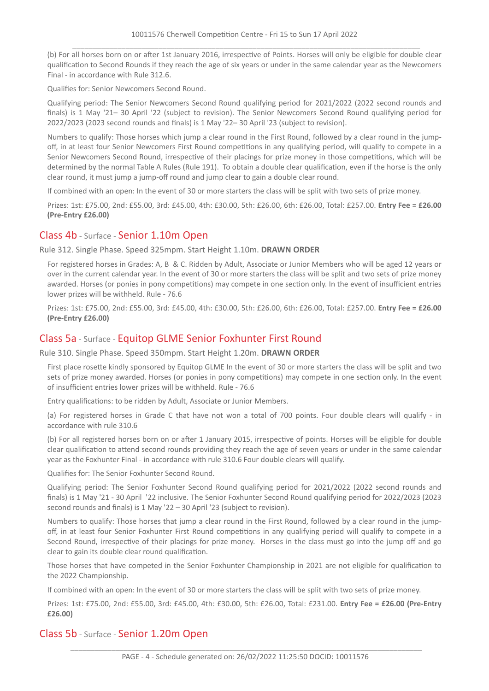(b) For all horses born on or after 1st January 2016, irrespective of Points. Horses will only be eligible for double clear qualification to Second Rounds if they reach the age of six years or under in the same calendar year as the Newcomers Final - in accordance with Rule 312.6.

Qualifies for: Senior Newcomers Second Round.

Qualifying period: The Senior Newcomers Second Round qualifying period for 2021/2022 (2022 second rounds and finals) is 1 May '21– 30 April '22 (subject to revision). The Senior Newcomers Second Round qualifying period for 2022/2023 (2023 second rounds and finals) is 1 May '22– 30 April '23 (subject to revision).

Numbers to qualify: Those horses which jump a clear round in the First Round, followed by a clear round in the jumpoff, in at least four Senior Newcomers First Round competitions in any qualifying period, will qualify to compete in a Senior Newcomers Second Round, irrespective of their placings for prize money in those competitions, which will be determined by the normal Table A Rules (Rule 191). To obtain a double clear qualification, even if the horse is the only clear round, it must jump a jump-off round and jump clear to gain a double clear round.

If combined with an open: In the event of 30 or more starters the class will be split with two sets of prize money.

Prizes: 1st: £75.00, 2nd: £55.00, 3rd: £45.00, 4th: £30.00, 5th: £26.00, 6th: £26.00, Total: £257.00. **Entry Fee = £26.00 (Pre-Entry £26.00)**

#### Class 4b - Surface - Senior 1.10m Open

Rule 312. Single Phase. Speed 325mpm. Start Height 1.10m. **DRAWN ORDER**

For registered horses in Grades: A, B & C. Ridden by Adult, Associate or Junior Members who will be aged 12 years or over in the current calendar year. In the event of 30 or more starters the class will be split and two sets of prize money awarded. Horses (or ponies in pony competitions) may compete in one section only. In the event of insufficient entries lower prizes will be withheld. Rule - 76.6

Prizes: 1st: £75.00, 2nd: £55.00, 3rd: £45.00, 4th: £30.00, 5th: £26.00, 6th: £26.00, Total: £257.00. **Entry Fee = £26.00 (Pre-Entry £26.00)**

# Class 5a - Surface - Equitop GLME Senior Foxhunter First Round

Rule 310. Single Phase. Speed 350mpm. Start Height 1.20m. **DRAWN ORDER**

First place rosette kindly sponsored by Equitop GLME In the event of 30 or more starters the class will be split and two sets of prize money awarded. Horses (or ponies in pony competitions) may compete in one section only. In the event of insufficient entries lower prizes will be withheld. Rule - 76.6

Entry qualifications: to be ridden by Adult, Associate or Junior Members.

(a) For registered horses in Grade C that have not won a total of 700 points. Four double clears will qualify - in accordance with rule 310.6

(b) For all registered horses born on or after 1 January 2015, irrespective of points. Horses will be eligible for double clear qualification to attend second rounds providing they reach the age of seven years or under in the same calendar year as the Foxhunter Final - in accordance with rule 310.6 Four double clears will qualify.

Qualifies for: The Senior Foxhunter Second Round.

Qualifying period: The Senior Foxhunter Second Round qualifying period for 2021/2022 (2022 second rounds and finals) is 1 May '21 - 30 April '22 inclusive. The Senior Foxhunter Second Round qualifying period for 2022/2023 (2023 second rounds and finals) is 1 May '22 – 30 April '23 (subject to revision).

Numbers to qualify: Those horses that jump a clear round in the First Round, followed by a clear round in the jumpoff, in at least four Senior Foxhunter First Round competitions in any qualifying period will qualify to compete in a Second Round, irrespective of their placings for prize money. Horses in the class must go into the jump off and go clear to gain its double clear round qualification.

Those horses that have competed in the Senior Foxhunter Championship in 2021 are not eligible for qualification to the 2022 Championship.

If combined with an open: In the event of 30 or more starters the class will be split with two sets of prize money.

Prizes: 1st: £75.00, 2nd: £55.00, 3rd: £45.00, 4th: £30.00, 5th: £26.00, Total: £231.00. **Entry Fee = £26.00 (Pre-Entry £26.00)**

# Class 5b - Surface - Senior 1.20m Open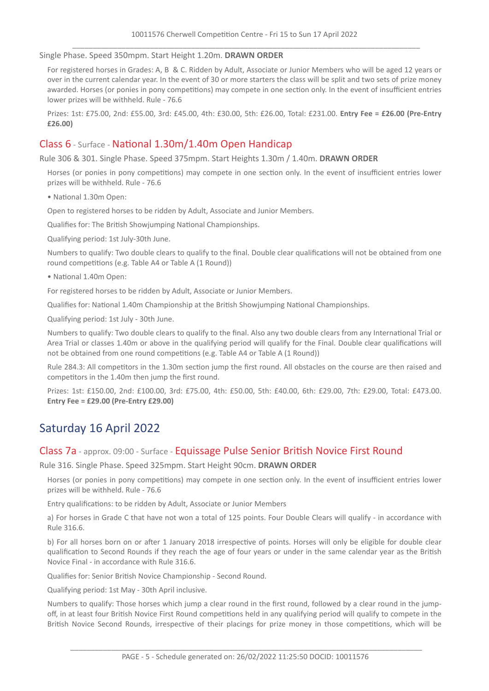Single Phase. Speed 350mpm. Start Height 1.20m. **DRAWN ORDER**

For registered horses in Grades: A, B & C. Ridden by Adult, Associate or Junior Members who will be aged 12 years or over in the current calendar year. In the event of 30 or more starters the class will be split and two sets of prize money awarded. Horses (or ponies in pony competitions) may compete in one section only. In the event of insufficient entries lower prizes will be withheld. Rule - 76.6

Prizes: 1st: £75.00, 2nd: £55.00, 3rd: £45.00, 4th: £30.00, 5th: £26.00, Total: £231.00. **Entry Fee = £26.00 (Pre-Entry £26.00)**

# Class 6 - Surface - National 1.30m/1.40m Open Handicap

Rule 306 & 301. Single Phase. Speed 375mpm. Start Heights 1.30m / 1.40m. **DRAWN ORDER**

Horses (or ponies in pony competitions) may compete in one section only. In the event of insufficient entries lower prizes will be withheld. Rule - 76.6

• National 1.30m Open:

Open to registered horses to be ridden by Adult, Associate and Junior Members.

Qualifies for: The British Showjumping National Championships.

Qualifying period: 1st July-30th June.

Numbers to qualify: Two double clears to qualify to the final. Double clear qualifications will not be obtained from one round competitions (e.g. Table A4 or Table A (1 Round))

• National 1.40m Open:

For registered horses to be ridden by Adult, Associate or Junior Members.

Qualifies for: National 1.40m Championship at the British Showjumping National Championships.

Qualifying period: 1st July - 30th June.

Numbers to qualify: Two double clears to qualify to the final. Also any two double clears from any International Trial or Area Trial or classes 1.40m or above in the qualifying period will qualify for the Final. Double clear qualifications will not be obtained from one round competitions (e.g. Table A4 or Table A (1 Round))

Rule 284.3: All competitors in the 1.30m section jump the first round. All obstacles on the course are then raised and competitors in the 1.40m then jump the first round.

Prizes: 1st: £150.00, 2nd: £100.00, 3rd: £75.00, 4th: £50.00, 5th: £40.00, 6th: £29.00, 7th: £29.00, Total: £473.00. **Entry Fee = £29.00 (Pre-Entry £29.00)**

# Saturday 16 April 2022

#### Class 7a - approx. 09:00 - Surface - Equissage Pulse Senior British Novice First Round

Rule 316. Single Phase. Speed 325mpm. Start Height 90cm. **DRAWN ORDER**

Horses (or ponies in pony competitions) may compete in one section only. In the event of insufficient entries lower prizes will be withheld. Rule - 76.6

Entry qualifications: to be ridden by Adult, Associate or Junior Members

a) For horses in Grade C that have not won a total of 125 points. Four Double Clears will qualify - in accordance with Rule 316.6.

b) For all horses born on or after 1 January 2018 irrespective of points. Horses will only be eligible for double clear qualification to Second Rounds if they reach the age of four years or under in the same calendar year as the British Novice Final - in accordance with Rule 316.6.

Qualifies for: Senior British Novice Championship - Second Round.

Qualifying period: 1st May - 30th April inclusive.

Numbers to qualify: Those horses which jump a clear round in the first round, followed by a clear round in the jumpoff, in at least four British Novice First Round competitions held in any qualifying period will qualify to compete in the British Novice Second Rounds, irrespective of their placings for prize money in those competitions, which will be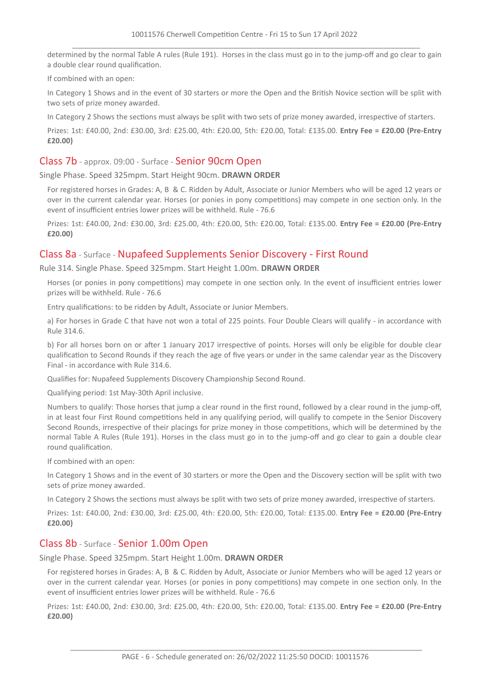determined by the normal Table A rules (Rule 191). Horses in the class must go in to the jump-off and go clear to gain a double clear round qualification.

If combined with an open:

In Category 1 Shows and in the event of 30 starters or more the Open and the British Novice section will be split with two sets of prize money awarded.

In Category 2 Shows the sections must always be split with two sets of prize money awarded, irrespective of starters.

Prizes: 1st: £40.00, 2nd: £30.00, 3rd: £25.00, 4th: £20.00, 5th: £20.00, Total: £135.00. **Entry Fee = £20.00 (Pre-Entry £20.00)**

#### Class 7b - approx. 09:00 - Surface - Senior 90cm Open

Single Phase. Speed 325mpm. Start Height 90cm. **DRAWN ORDER**

For registered horses in Grades: A, B & C. Ridden by Adult, Associate or Junior Members who will be aged 12 years or over in the current calendar year. Horses (or ponies in pony competitions) may compete in one section only. In the event of insufficient entries lower prizes will be withheld. Rule - 76.6

Prizes: 1st: £40.00, 2nd: £30.00, 3rd: £25.00, 4th: £20.00, 5th: £20.00, Total: £135.00. **Entry Fee = £20.00 (Pre-Entry £20.00)**

# Class 8a - Surface - Nupafeed Supplements Senior Discovery - First Round

Rule 314. Single Phase. Speed 325mpm. Start Height 1.00m. **DRAWN ORDER**

Horses (or ponies in pony competitions) may compete in one section only. In the event of insufficient entries lower prizes will be withheld. Rule - 76.6

Entry qualifications: to be ridden by Adult, Associate or Junior Members.

a) For horses in Grade C that have not won a total of 225 points. Four Double Clears will qualify - in accordance with Rule 314.6.

b) For all horses born on or after 1 January 2017 irrespective of points. Horses will only be eligible for double clear qualification to Second Rounds if they reach the age of five years or under in the same calendar year as the Discovery Final - in accordance with Rule 314.6.

Qualifies for: Nupafeed Supplements Discovery Championship Second Round.

Qualifying period: 1st May-30th April inclusive.

Numbers to qualify: Those horses that jump a clear round in the first round, followed by a clear round in the jump-off, in at least four First Round competitions held in any qualifying period, will qualify to compete in the Senior Discovery Second Rounds, irrespective of their placings for prize money in those competitions, which will be determined by the normal Table A Rules (Rule 191). Horses in the class must go in to the jump-off and go clear to gain a double clear round qualification.

If combined with an open:

In Category 1 Shows and in the event of 30 starters or more the Open and the Discovery section will be split with two sets of prize money awarded.

In Category 2 Shows the sections must always be split with two sets of prize money awarded, irrespective of starters.

Prizes: 1st: £40.00, 2nd: £30.00, 3rd: £25.00, 4th: £20.00, 5th: £20.00, Total: £135.00. **Entry Fee = £20.00 (Pre-Entry £20.00)**

#### Class 8b - Surface - Senior 1.00m Open

Single Phase. Speed 325mpm. Start Height 1.00m. **DRAWN ORDER**

For registered horses in Grades: A, B & C. Ridden by Adult, Associate or Junior Members who will be aged 12 years or over in the current calendar year. Horses (or ponies in pony competitions) may compete in one section only. In the event of insufficient entries lower prizes will be withheld. Rule - 76.6

Prizes: 1st: £40.00, 2nd: £30.00, 3rd: £25.00, 4th: £20.00, 5th: £20.00, Total: £135.00. **Entry Fee = £20.00 (Pre-Entry £20.00)**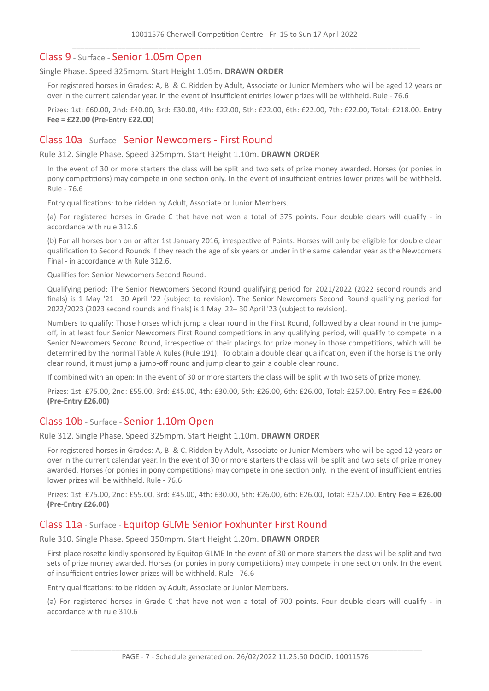#### Class 9 - Surface - Senior 1.05m Open

#### Single Phase. Speed 325mpm. Start Height 1.05m. **DRAWN ORDER**

For registered horses in Grades: A, B & C. Ridden by Adult, Associate or Junior Members who will be aged 12 years or over in the current calendar year. In the event of insufficient entries lower prizes will be withheld. Rule - 76.6

Prizes: 1st: £60.00, 2nd: £40.00, 3rd: £30.00, 4th: £22.00, 5th: £22.00, 6th: £22.00, 7th: £22.00, Total: £218.00. **Entry Fee = £22.00 (Pre-Entry £22.00)**

#### Class 10a - Surface - Senior Newcomers - First Round

Rule 312. Single Phase. Speed 325mpm. Start Height 1.10m. **DRAWN ORDER**

In the event of 30 or more starters the class will be split and two sets of prize money awarded. Horses (or ponies in pony competitions) may compete in one section only. In the event of insufficient entries lower prizes will be withheld. Rule - 76.6

Entry qualifications: to be ridden by Adult, Associate or Junior Members.

(a) For registered horses in Grade C that have not won a total of 375 points. Four double clears will qualify - in accordance with rule 312.6

(b) For all horses born on or after 1st January 2016, irrespective of Points. Horses will only be eligible for double clear qualification to Second Rounds if they reach the age of six years or under in the same calendar year as the Newcomers Final - in accordance with Rule 312.6.

Qualifies for: Senior Newcomers Second Round.

Qualifying period: The Senior Newcomers Second Round qualifying period for 2021/2022 (2022 second rounds and finals) is 1 May '21– 30 April '22 (subject to revision). The Senior Newcomers Second Round qualifying period for 2022/2023 (2023 second rounds and finals) is 1 May '22– 30 April '23 (subject to revision).

Numbers to qualify: Those horses which jump a clear round in the First Round, followed by a clear round in the jumpoff, in at least four Senior Newcomers First Round competitions in any qualifying period, will qualify to compete in a Senior Newcomers Second Round, irrespective of their placings for prize money in those competitions, which will be determined by the normal Table A Rules (Rule 191). To obtain a double clear qualification, even if the horse is the only clear round, it must jump a jump-off round and jump clear to gain a double clear round.

If combined with an open: In the event of 30 or more starters the class will be split with two sets of prize money.

Prizes: 1st: £75.00, 2nd: £55.00, 3rd: £45.00, 4th: £30.00, 5th: £26.00, 6th: £26.00, Total: £257.00. **Entry Fee = £26.00 (Pre-Entry £26.00)**

#### Class 10b - Surface - Senior 1.10m Open

Rule 312. Single Phase. Speed 325mpm. Start Height 1.10m. **DRAWN ORDER**

For registered horses in Grades: A, B & C. Ridden by Adult, Associate or Junior Members who will be aged 12 years or over in the current calendar year. In the event of 30 or more starters the class will be split and two sets of prize money awarded. Horses (or ponies in pony competitions) may compete in one section only. In the event of insufficient entries lower prizes will be withheld. Rule - 76.6

Prizes: 1st: £75.00, 2nd: £55.00, 3rd: £45.00, 4th: £30.00, 5th: £26.00, 6th: £26.00, Total: £257.00. **Entry Fee = £26.00 (Pre-Entry £26.00)**

#### Class 11a - Surface - Equitop GLME Senior Foxhunter First Round

Rule 310. Single Phase. Speed 350mpm. Start Height 1.20m. **DRAWN ORDER**

First place rosette kindly sponsored by Equitop GLME In the event of 30 or more starters the class will be split and two sets of prize money awarded. Horses (or ponies in pony competitions) may compete in one section only. In the event of insufficient entries lower prizes will be withheld. Rule - 76.6

Entry qualifications: to be ridden by Adult, Associate or Junior Members.

(a) For registered horses in Grade C that have not won a total of 700 points. Four double clears will qualify - in accordance with rule 310.6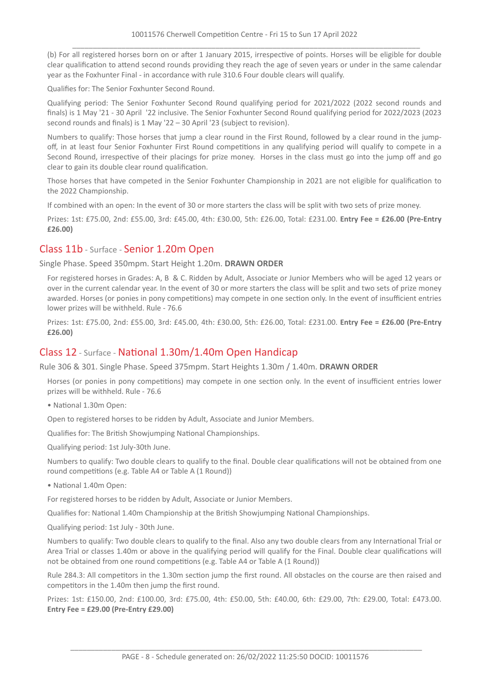(b) For all registered horses born on or after 1 January 2015, irrespective of points. Horses will be eligible for double clear qualification to attend second rounds providing they reach the age of seven years or under in the same calendar year as the Foxhunter Final - in accordance with rule 310.6 Four double clears will qualify.

Qualifies for: The Senior Foxhunter Second Round.

Qualifying period: The Senior Foxhunter Second Round qualifying period for 2021/2022 (2022 second rounds and finals) is 1 May '21 - 30 April '22 inclusive. The Senior Foxhunter Second Round qualifying period for 2022/2023 (2023 second rounds and finals) is 1 May '22 – 30 April '23 (subject to revision).

Numbers to qualify: Those horses that jump a clear round in the First Round, followed by a clear round in the jumpoff, in at least four Senior Foxhunter First Round competitions in any qualifying period will qualify to compete in a Second Round, irrespective of their placings for prize money. Horses in the class must go into the jump off and go clear to gain its double clear round qualification.

Those horses that have competed in the Senior Foxhunter Championship in 2021 are not eligible for qualification to the 2022 Championship.

If combined with an open: In the event of 30 or more starters the class will be split with two sets of prize money.

Prizes: 1st: £75.00, 2nd: £55.00, 3rd: £45.00, 4th: £30.00, 5th: £26.00, Total: £231.00. **Entry Fee = £26.00 (Pre-Entry £26.00)**

# Class 11b - Surface - Senior 1.20m Open

Single Phase. Speed 350mpm. Start Height 1.20m. **DRAWN ORDER**

For registered horses in Grades: A, B & C. Ridden by Adult, Associate or Junior Members who will be aged 12 years or over in the current calendar year. In the event of 30 or more starters the class will be split and two sets of prize money awarded. Horses (or ponies in pony competitions) may compete in one section only. In the event of insufficient entries lower prizes will be withheld. Rule - 76.6

Prizes: 1st: £75.00, 2nd: £55.00, 3rd: £45.00, 4th: £30.00, 5th: £26.00, Total: £231.00. **Entry Fee = £26.00 (Pre-Entry £26.00)**

# Class 12 - Surface - National 1.30m/1.40m Open Handicap

Rule 306 & 301. Single Phase. Speed 375mpm. Start Heights 1.30m / 1.40m. **DRAWN ORDER**

Horses (or ponies in pony competitions) may compete in one section only. In the event of insufficient entries lower prizes will be withheld. Rule - 76.6

• National 1.30m Open:

Open to registered horses to be ridden by Adult, Associate and Junior Members.

Qualifies for: The British Showjumping National Championships.

Qualifying period: 1st July-30th June.

Numbers to qualify: Two double clears to qualify to the final. Double clear qualifications will not be obtained from one round competitions (e.g. Table A4 or Table A (1 Round))

• National 1.40m Open:

For registered horses to be ridden by Adult, Associate or Junior Members.

Qualifies for: National 1.40m Championship at the British Showjumping National Championships.

Qualifying period: 1st July - 30th June.

Numbers to qualify: Two double clears to qualify to the final. Also any two double clears from any International Trial or Area Trial or classes 1.40m or above in the qualifying period will qualify for the Final. Double clear qualifications will not be obtained from one round competitions (e.g. Table A4 or Table A (1 Round))

Rule 284.3: All competitors in the 1.30m section jump the first round. All obstacles on the course are then raised and competitors in the 1.40m then jump the first round.

Prizes: 1st: £150.00, 2nd: £100.00, 3rd: £75.00, 4th: £50.00, 5th: £40.00, 6th: £29.00, 7th: £29.00, Total: £473.00. **Entry Fee = £29.00 (Pre-Entry £29.00)**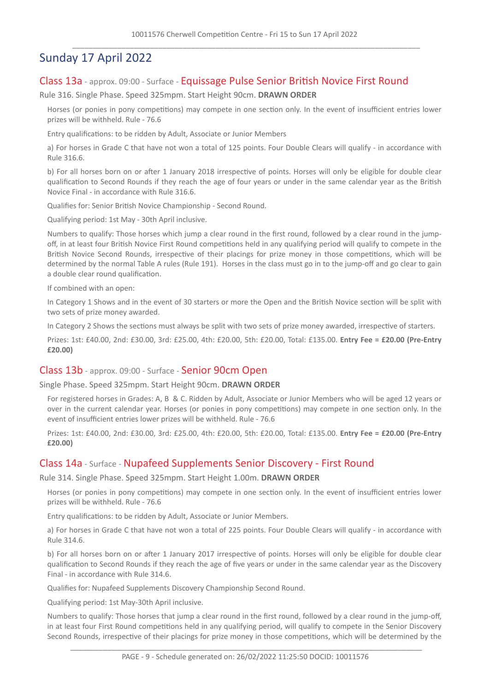# Sunday 17 April 2022

# Class 13a - approx. 09:00 - Surface - Equissage Pulse Senior British Novice First Round

Rule 316. Single Phase. Speed 325mpm. Start Height 90cm. **DRAWN ORDER**

Horses (or ponies in pony competitions) may compete in one section only. In the event of insufficient entries lower prizes will be withheld. Rule - 76.6

Entry qualifications: to be ridden by Adult, Associate or Junior Members

a) For horses in Grade C that have not won a total of 125 points. Four Double Clears will qualify - in accordance with Rule 316.6.

b) For all horses born on or after 1 January 2018 irrespective of points. Horses will only be eligible for double clear qualification to Second Rounds if they reach the age of four years or under in the same calendar year as the British Novice Final - in accordance with Rule 316.6.

Qualifies for: Senior British Novice Championship - Second Round.

Qualifying period: 1st May - 30th April inclusive.

Numbers to qualify: Those horses which jump a clear round in the first round, followed by a clear round in the jumpoff, in at least four British Novice First Round competitions held in any qualifying period will qualify to compete in the British Novice Second Rounds, irrespective of their placings for prize money in those competitions, which will be determined by the normal Table A rules (Rule 191). Horses in the class must go in to the jump-off and go clear to gain a double clear round qualification.

If combined with an open:

In Category 1 Shows and in the event of 30 starters or more the Open and the British Novice section will be split with two sets of prize money awarded.

In Category 2 Shows the sections must always be split with two sets of prize money awarded, irrespective of starters.

Prizes: 1st: £40.00, 2nd: £30.00, 3rd: £25.00, 4th: £20.00, 5th: £20.00, Total: £135.00. **Entry Fee = £20.00 (Pre-Entry £20.00)**

#### Class 13b - approx. 09:00 - Surface - Senior 90cm Open

Single Phase. Speed 325mpm. Start Height 90cm. **DRAWN ORDER**

For registered horses in Grades: A, B & C. Ridden by Adult, Associate or Junior Members who will be aged 12 years or over in the current calendar year. Horses (or ponies in pony competitions) may compete in one section only. In the event of insufficient entries lower prizes will be withheld. Rule - 76.6

Prizes: 1st: £40.00, 2nd: £30.00, 3rd: £25.00, 4th: £20.00, 5th: £20.00, Total: £135.00. **Entry Fee = £20.00 (Pre-Entry £20.00)**

#### Class 14a - Surface - Nupafeed Supplements Senior Discovery - First Round

Rule 314. Single Phase. Speed 325mpm. Start Height 1.00m. **DRAWN ORDER**

Horses (or ponies in pony competitions) may compete in one section only. In the event of insufficient entries lower prizes will be withheld. Rule - 76.6

Entry qualifications: to be ridden by Adult, Associate or Junior Members.

a) For horses in Grade C that have not won a total of 225 points. Four Double Clears will qualify - in accordance with Rule 314.6.

b) For all horses born on or after 1 January 2017 irrespective of points. Horses will only be eligible for double clear qualification to Second Rounds if they reach the age of five years or under in the same calendar year as the Discovery Final - in accordance with Rule 314.6.

Qualifies for: Nupafeed Supplements Discovery Championship Second Round.

Qualifying period: 1st May-30th April inclusive.

Numbers to qualify: Those horses that jump a clear round in the first round, followed by a clear round in the jump-off, in at least four First Round competitions held in any qualifying period, will qualify to compete in the Senior Discovery Second Rounds, irrespective of their placings for prize money in those competitions, which will be determined by the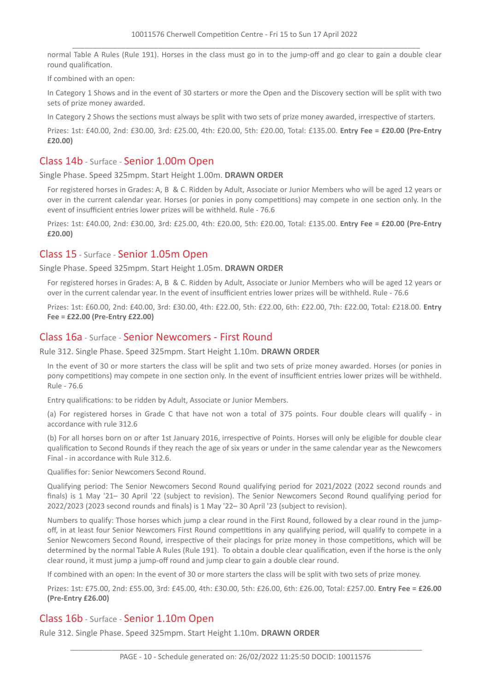normal Table A Rules (Rule 191). Horses in the class must go in to the jump-off and go clear to gain a double clear round qualification.

If combined with an open:

In Category 1 Shows and in the event of 30 starters or more the Open and the Discovery section will be split with two sets of prize money awarded.

In Category 2 Shows the sections must always be split with two sets of prize money awarded, irrespective of starters.

Prizes: 1st: £40.00, 2nd: £30.00, 3rd: £25.00, 4th: £20.00, 5th: £20.00, Total: £135.00. **Entry Fee = £20.00 (Pre-Entry £20.00)**

# Class 14b - Surface - Senior 1.00m Open

Single Phase. Speed 325mpm. Start Height 1.00m. **DRAWN ORDER**

For registered horses in Grades: A, B & C. Ridden by Adult, Associate or Junior Members who will be aged 12 years or over in the current calendar year. Horses (or ponies in pony competitions) may compete in one section only. In the event of insufficient entries lower prizes will be withheld. Rule - 76.6

Prizes: 1st: £40.00, 2nd: £30.00, 3rd: £25.00, 4th: £20.00, 5th: £20.00, Total: £135.00. **Entry Fee = £20.00 (Pre-Entry £20.00)**

# Class 15 - Surface - Senior 1.05m Open

Single Phase. Speed 325mpm. Start Height 1.05m. **DRAWN ORDER**

For registered horses in Grades: A, B & C. Ridden by Adult, Associate or Junior Members who will be aged 12 years or over in the current calendar year. In the event of insufficient entries lower prizes will be withheld. Rule - 76.6

Prizes: 1st: £60.00, 2nd: £40.00, 3rd: £30.00, 4th: £22.00, 5th: £22.00, 6th: £22.00, 7th: £22.00, Total: £218.00. **Entry Fee = £22.00 (Pre-Entry £22.00)**

# Class 16a - Surface - Senior Newcomers - First Round

Rule 312. Single Phase. Speed 325mpm. Start Height 1.10m. **DRAWN ORDER**

In the event of 30 or more starters the class will be split and two sets of prize money awarded. Horses (or ponies in pony competitions) may compete in one section only. In the event of insufficient entries lower prizes will be withheld. Rule - 76.6

Entry qualifications: to be ridden by Adult, Associate or Junior Members.

(a) For registered horses in Grade C that have not won a total of 375 points. Four double clears will qualify - in accordance with rule 312.6

(b) For all horses born on or after 1st January 2016, irrespective of Points. Horses will only be eligible for double clear qualification to Second Rounds if they reach the age of six years or under in the same calendar year as the Newcomers Final - in accordance with Rule 312.6.

Qualifies for: Senior Newcomers Second Round.

Qualifying period: The Senior Newcomers Second Round qualifying period for 2021/2022 (2022 second rounds and finals) is 1 May '21– 30 April '22 (subject to revision). The Senior Newcomers Second Round qualifying period for 2022/2023 (2023 second rounds and finals) is 1 May '22– 30 April '23 (subject to revision).

Numbers to qualify: Those horses which jump a clear round in the First Round, followed by a clear round in the jumpoff, in at least four Senior Newcomers First Round competitions in any qualifying period, will qualify to compete in a Senior Newcomers Second Round, irrespective of their placings for prize money in those competitions, which will be determined by the normal Table A Rules (Rule 191). To obtain a double clear qualification, even if the horse is the only clear round, it must jump a jump-off round and jump clear to gain a double clear round.

If combined with an open: In the event of 30 or more starters the class will be split with two sets of prize money.

Prizes: 1st: £75.00, 2nd: £55.00, 3rd: £45.00, 4th: £30.00, 5th: £26.00, 6th: £26.00, Total: £257.00. **Entry Fee = £26.00 (Pre-Entry £26.00)**

#### Class 16b - Surface - Senior 1.10m Open

Rule 312. Single Phase. Speed 325mpm. Start Height 1.10m. **DRAWN ORDER**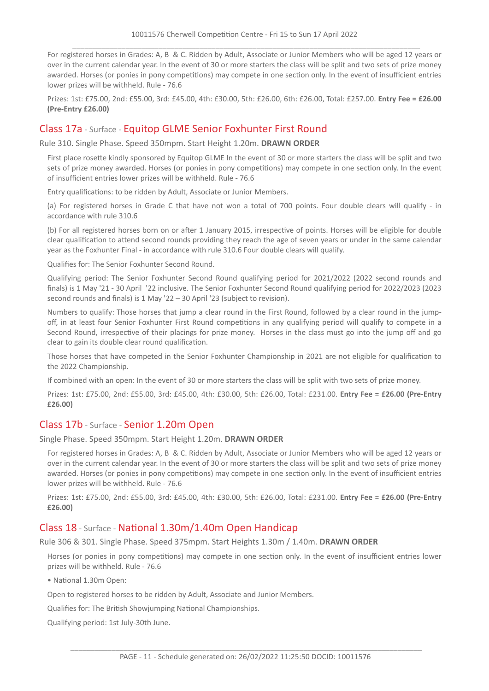For registered horses in Grades: A, B & C. Ridden by Adult, Associate or Junior Members who will be aged 12 years or over in the current calendar year. In the event of 30 or more starters the class will be split and two sets of prize money awarded. Horses (or ponies in pony competitions) may compete in one section only. In the event of insufficient entries lower prizes will be withheld. Rule - 76.6

Prizes: 1st: £75.00, 2nd: £55.00, 3rd: £45.00, 4th: £30.00, 5th: £26.00, 6th: £26.00, Total: £257.00. **Entry Fee = £26.00 (Pre-Entry £26.00)**

# Class 17a - Surface - Equitop GLME Senior Foxhunter First Round

Rule 310. Single Phase. Speed 350mpm. Start Height 1.20m. **DRAWN ORDER**

First place rosette kindly sponsored by Equitop GLME In the event of 30 or more starters the class will be split and two sets of prize money awarded. Horses (or ponies in pony competitions) may compete in one section only. In the event of insufficient entries lower prizes will be withheld. Rule - 76.6

Entry qualifications: to be ridden by Adult, Associate or Junior Members.

(a) For registered horses in Grade C that have not won a total of 700 points. Four double clears will qualify - in accordance with rule 310.6

(b) For all registered horses born on or after 1 January 2015, irrespective of points. Horses will be eligible for double clear qualification to attend second rounds providing they reach the age of seven years or under in the same calendar year as the Foxhunter Final - in accordance with rule 310.6 Four double clears will qualify.

Qualifies for: The Senior Foxhunter Second Round.

Qualifying period: The Senior Foxhunter Second Round qualifying period for 2021/2022 (2022 second rounds and finals) is 1 May '21 - 30 April '22 inclusive. The Senior Foxhunter Second Round qualifying period for 2022/2023 (2023 second rounds and finals) is 1 May '22 – 30 April '23 (subject to revision).

Numbers to qualify: Those horses that jump a clear round in the First Round, followed by a clear round in the jumpoff, in at least four Senior Foxhunter First Round competitions in any qualifying period will qualify to compete in a Second Round, irrespective of their placings for prize money. Horses in the class must go into the jump off and go clear to gain its double clear round qualification.

Those horses that have competed in the Senior Foxhunter Championship in 2021 are not eligible for qualification to the 2022 Championship.

If combined with an open: In the event of 30 or more starters the class will be split with two sets of prize money.

Prizes: 1st: £75.00, 2nd: £55.00, 3rd: £45.00, 4th: £30.00, 5th: £26.00, Total: £231.00. **Entry Fee = £26.00 (Pre-Entry £26.00)**

# Class 17b - Surface - Senior 1.20m Open

Single Phase. Speed 350mpm. Start Height 1.20m. **DRAWN ORDER**

For registered horses in Grades: A, B & C. Ridden by Adult, Associate or Junior Members who will be aged 12 years or over in the current calendar year. In the event of 30 or more starters the class will be split and two sets of prize money awarded. Horses (or ponies in pony competitions) may compete in one section only. In the event of insufficient entries lower prizes will be withheld. Rule - 76.6

Prizes: 1st: £75.00, 2nd: £55.00, 3rd: £45.00, 4th: £30.00, 5th: £26.00, Total: £231.00. **Entry Fee = £26.00 (Pre-Entry £26.00)**

# Class 18 - Surface - National 1.30m/1.40m Open Handicap

Rule 306 & 301. Single Phase. Speed 375mpm. Start Heights 1.30m / 1.40m. **DRAWN ORDER**

Horses (or ponies in pony competitions) may compete in one section only. In the event of insufficient entries lower prizes will be withheld. Rule - 76.6

• National 1.30m Open:

Open to registered horses to be ridden by Adult, Associate and Junior Members.

Qualifies for: The British Showjumping National Championships.

Qualifying period: 1st July-30th June.